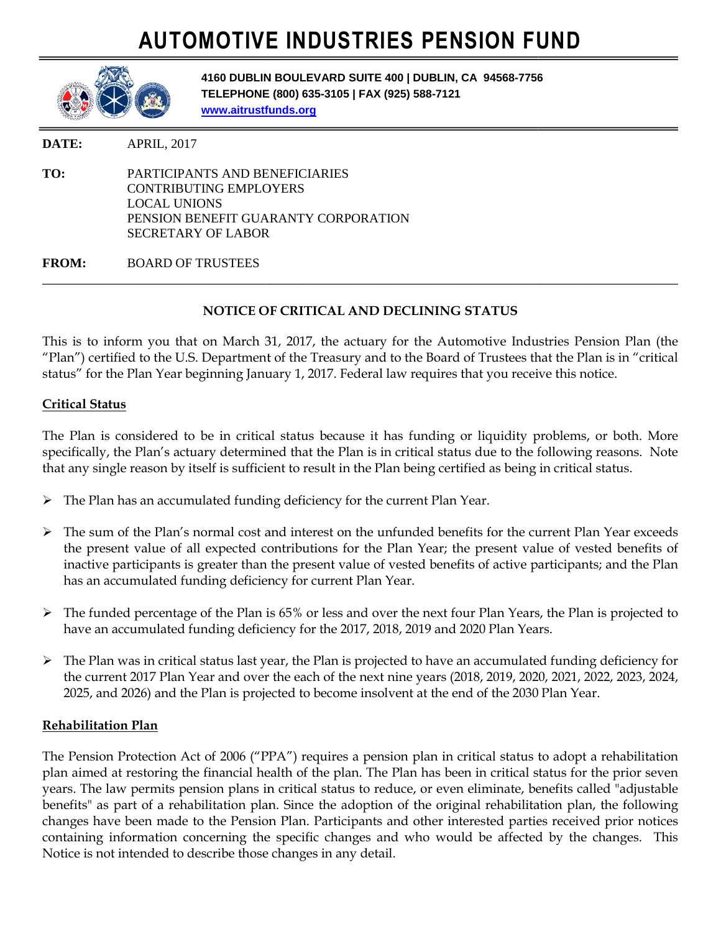# **AUTOMOTIVE INDUSTRIES PENSION FUND**



**4160 DUBLIN BOULEVARD SUITE 400 | DUBLIN, CA 94568 UBLIN 94568-7756 TELEPHONE (800) 635 (800) 635-3105 | FAX (925) 588-7121 www.aitrustfunds.org**

**DATE:** APRIL, 2017

**TO:** PARTICIPANTS AND BENEFICIARIES PARTICIPANTS AND CONTRIBUTING EMPLOYERS LOCAL UNIONS PENSION BENEFIT GUARANTY CORPORATION SECRETARY OF LABOR

**FROM:** BOARD OF TRUSTEES

## **NOTICE OF CRITICAL AND DECLINING STATUS CRITICAL AND**

\_\_\_\_\_\_\_\_\_\_\_\_\_\_\_\_\_\_\_\_\_\_\_\_\_\_\_\_\_\_\_\_\_\_\_\_\_\_\_\_\_\_\_\_\_\_\_\_\_\_\_\_\_\_\_\_\_\_\_\_\_\_\_\_\_\_\_\_\_\_\_\_\_\_\_\_\_\_\_\_\_\_\_\_\_\_\_\_\_\_

\_\_\_\_\_\_\_\_\_\_\_\_\_\_\_\_\_\_\_\_\_\_\_\_\_\_\_\_\_\_\_\_\_\_\_\_\_\_\_\_\_\_\_\_\_\_\_\_\_\_\_\_\_\_\_\_\_\_\_\_\_\_\_\_\_\_\_\_\_\_\_\_\_\_\_

This is to inform you that on March 31, 2017, the actuary for the Automotive Industries Pension Plan (the "Plan") certified to the U.S. Department of the Treasury and to the Board of Trustees that the Plan is in "critical status" for the Plan Year beginning January 1, 2017. Federal law requires that you receive this notice.

### **Critical Status**

The Plan is considered to be in critical status because it has funding or liquidity problems, or both. More specifically, the Plan's actuary determined that the Plan is in critical status due to the following reasons. Note that any single reason by itself is sufficient to result in the Plan being certified as being in critical status. ou that on March 31, 2017, the actuary for the Automotive Industries Pension Plan<br>the U.S. Department of the Treasury and to the Board of Trustees that the Plan is in "cri<br>Year beginning January 1, 2017. Federal law requir

- $\triangleright$  The Plan has an accumulated funding deficiency for the current Plan Year.
- $\triangleright$  The sum of the Plan's normal cost and interest on the unfunded benefits for the current Plan Year exceeds the present value of all expected contributions for the Plan Year; the present value of vested benefits of inactive participants is greater than the present value of vested benefits of active participants; and the Plan has an accumulated funding deficiency for current Plan Year. sum of the Plan's normal cost and interest on the unfunded benefits for the current Plan Year exceeds present value of all expected contributions for the Plan Year; the present value of vested benefits of tive participants
- The funded percentage of the Plan is 65% or less and over the next four Plan Years, the Plan is projected to have an accumulated funding deficiency for the 2017, 2018, 2019 and 2020 Plan Years.
- $\triangleright$  The Plan was in critical status last year, the Plan is projected to have an accumulated funding deficiency for the current 2017 Plan Year and over the each of the next nine years (2018 2025, and 2026) and the Plan is projected to become insolvent at the end of the 2030 Plan Year. has an accumulated funding deficiency for current Plan Year.<br>The funded percentage of the Plan is 65% or less and over the next four Plan Years, the Plan is projected to<br>have an accumulated funding deficiency for the 2017,

#### **Rehabilitation Plan**

The Pension Protection Act of 2006 ("PPA") requires a pension plan in critical status to adopt a rehabilitation plan aimed at restoring the financial health of the plan. The Plan has been in critical status for the prior seven years. The law permits pension plans in critical status to reduce, or even eliminate, benefits called "adjustable benefits" as part of a rehabilitation plan. Since the adoption of the original rehabilitation plan, the following changes have been made to the Pension Plan. Participants containing information concerning the specific changes and who would be affected by the changes. This Notice is not intended to describe those changes in any detail. 2026) and the Plan is projected to become insolvent at the end of the 2030 Plan Year.<br> **n Plan**<br>
Protection Act of 2006 ("PPA") requires a pension plan in critical status to adopt a rehabilitation<br>
restoring the financial **FIGURE 1998 FIGURE 1998 FIGURE 2008 CONCEVERS EXERCISE AND DESCRIPTS OF THE AND AND INCREMENTATION CONCEPT CONCEPT CONCEPT CONCEPT CONCEPT CONCEPT CONCEPT CONCEPT CONCEPT CONCEPT CONCEPT CONCEPT CONCEPT CONCEPT CONC** o be in critical status because it has funding or liquidity problems, or both. More<br>tuary determined that the Plan is in critical status due to the following reasons. Note<br>itself is sufficient to result in the Plan being c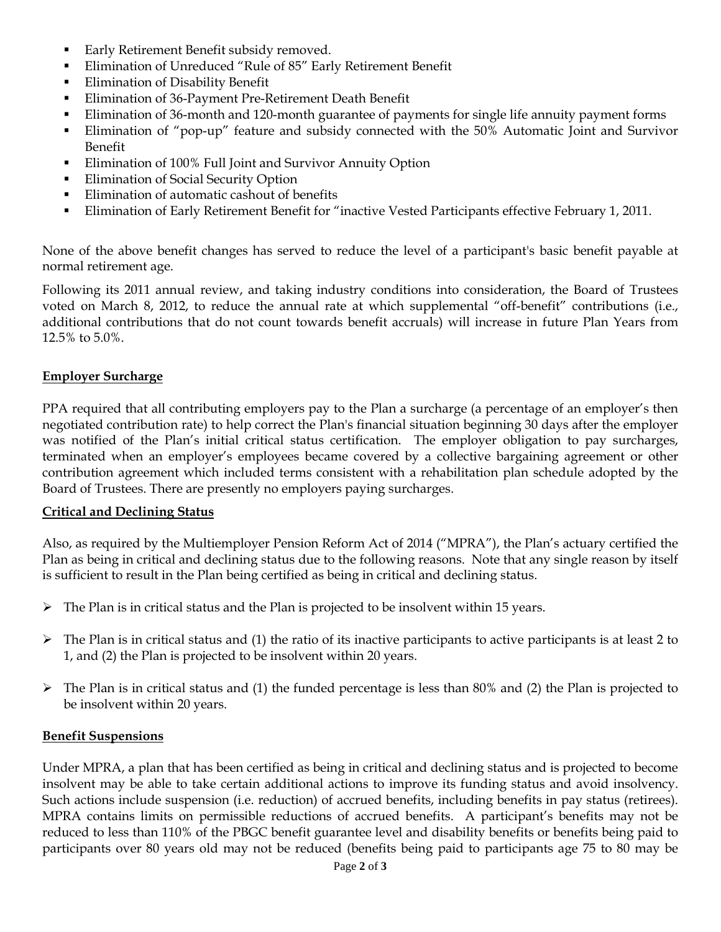- Early Retirement Benefit subsidy removed.
- Elimination of Unreduced "Rule of 85" Early Retirement Benefit
- **Elimination of Disability Benefit**
- Elimination of 36-Payment Pre-Retirement Death Benefit
- Elimination of 36-month and 120-month guarantee of payments for single life annuity payment forms
- Elimination of "pop-up" feature and subsidy connected with the 50% Automatic Joint and Survivor Benefit
- Elimination of 100% Full Joint and Survivor Annuity Option
- **Elimination of Social Security Option**
- **Elimination of automatic cashout of benefits**
- Elimination of Early Retirement Benefit for "inactive Vested Participants effective February 1, 2011.

None of the above benefit changes has served to reduce the level of a participant's basic benefit payable at normal retirement age.

Following its 2011 annual review, and taking industry conditions into consideration, the Board of Trustees voted on March 8, 2012, to reduce the annual rate at which supplemental "off-benefit" contributions (i.e., additional contributions that do not count towards benefit accruals) will increase in future Plan Years from 12.5% to 5.0%.

#### **Employer Surcharge**

PPA required that all contributing employers pay to the Plan a surcharge (a percentage of an employer's then negotiated contribution rate) to help correct the Plan's financial situation beginning 30 days after the employer was notified of the Plan's initial critical status certification. The employer obligation to pay surcharges, terminated when an employer's employees became covered by a collective bargaining agreement or other contribution agreement which included terms consistent with a rehabilitation plan schedule adopted by the Board of Trustees. There are presently no employers paying surcharges.

#### **Critical and Declining Status**

Also, as required by the Multiemployer Pension Reform Act of 2014 ("MPRA"), the Plan's actuary certified the Plan as being in critical and declining status due to the following reasons. Note that any single reason by itself is sufficient to result in the Plan being certified as being in critical and declining status.

- $\triangleright$  The Plan is in critical status and the Plan is projected to be insolvent within 15 years.
- $\triangleright$  The Plan is in critical status and (1) the ratio of its inactive participants to active participants is at least 2 to 1, and (2) the Plan is projected to be insolvent within 20 years.
- $\triangleright$  The Plan is in critical status and (1) the funded percentage is less than 80% and (2) the Plan is projected to be insolvent within 20 years.

#### **Benefit Suspensions**

Under MPRA, a plan that has been certified as being in critical and declining status and is projected to become insolvent may be able to take certain additional actions to improve its funding status and avoid insolvency. Such actions include suspension (i.e. reduction) of accrued benefits, including benefits in pay status (retirees). MPRA contains limits on permissible reductions of accrued benefits. A participant's benefits may not be reduced to less than 110% of the PBGC benefit guarantee level and disability benefits or benefits being paid to participants over 80 years old may not be reduced (benefits being paid to participants age 75 to 80 may be